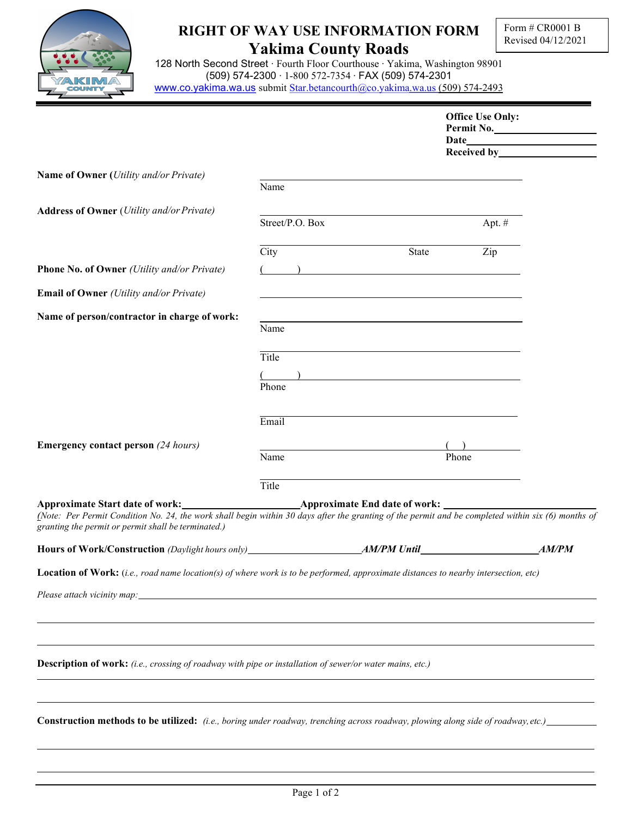

## RIGHT OF WAY USE INFORMATION FORM Yakima County Roads

128 North Second Street ∙ Fourth Floor Courthouse ∙ Yakima, Washington 98901 (509) 574-2300 ∙ 1-800 572-7354 ∙ FAX (509) 574-2301 www.co.yakima.wa.us submit Star.betancourth@co.yakima.wa.us (509) 574-2493

|                                                                                                                                                                    |                                   |                                                                                                                       | <b>Office Use Only:</b><br>Received by <b>Example 20</b> | Permit No.   |
|--------------------------------------------------------------------------------------------------------------------------------------------------------------------|-----------------------------------|-----------------------------------------------------------------------------------------------------------------------|----------------------------------------------------------|--------------|
| Name of Owner (Utility and/or Private)                                                                                                                             | Name                              |                                                                                                                       |                                                          |              |
| <b>Address of Owner</b> (Utility and/or Private)                                                                                                                   | Street/P.O. Box                   |                                                                                                                       | Apt. #                                                   |              |
|                                                                                                                                                                    | City                              | State                                                                                                                 | Zip                                                      |              |
| Phone No. of Owner (Utility and/or Private)<br><b>Email of Owner</b> (Utility and/or Private)                                                                      | $\overline{a}$ ( $\overline{a}$ ) |                                                                                                                       |                                                          |              |
| Name of person/contractor in charge of work:                                                                                                                       | Name                              |                                                                                                                       |                                                          |              |
|                                                                                                                                                                    | Title<br>Phone                    | <u> 1989 - Johann Barbara, martin amerikan basar dan berasal dan berasal dalam basar dalam basar dalam basar dala</u> |                                                          |              |
|                                                                                                                                                                    | Email                             |                                                                                                                       |                                                          |              |
| <b>Emergency contact person</b> (24 hours)                                                                                                                         | Name                              | Phone                                                                                                                 |                                                          |              |
| (Note: Per Permit Condition No. 24, the work shall begin within 30 days after the granting of the permit and be completed within six (6) months of                 | Title                             |                                                                                                                       |                                                          |              |
| granting the permit or permit shall be terminated.)                                                                                                                |                                   |                                                                                                                       |                                                          | <b>AM/PM</b> |
| Location of Work: (i.e., road name location(s) of where work is to be performed, approximate distances to nearby intersection, etc)<br>Please attach vicinity map: |                                   |                                                                                                                       |                                                          |              |
| Description of work: (i.e., crossing of roadway with pipe or installation of sewer/or water mains, etc.)                                                           |                                   |                                                                                                                       |                                                          |              |
| <b>Construction methods to be utilized:</b> (i.e., boring under roadway, trenching across roadway, plowing along side of roadway, etc.)                            |                                   |                                                                                                                       |                                                          |              |